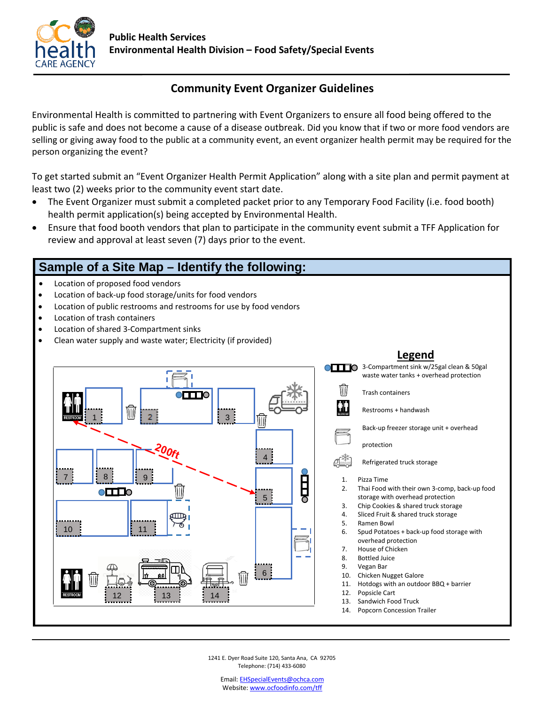

## **Community Event Organizer Guidelines**

Environmental Health is committed to partnering with Event Organizers to ensure all food being offered to the public is safe and does not become a cause of a disease outbreak. Did you know that if two or more food vendors are selling or giving away food to the public at a community event, an event organizer health permit may be required for the person organizing the event?

To get started submit an "Event Organizer Health Permit Application" along with a site plan and permit payment at least two (2) weeks prior to the community event start date.

- The Event Organizer must submit a completed packet prior to any Temporary Food Facility (i.e. food booth) health permit application(s) being accepted by Environmental Health.
- Ensure that food booth vendors that plan to participate in the community event submit a TFF Application for review and approval at least seven (7) days prior to the event.

# **Sample of a Site Map – Identify the following:**

- Location of proposed food vendors
- Location of back-up food storage/units for food vendors
- Location of public restrooms and restrooms for use by food vendors
- Location of trash containers
- Location of shared 3-Compartment sinks
- Clean water supply and waste water; Electricity (if provided)



## **Legend**

**CHLO** 3-Compartment sink w/25gal clean & 50gal waste water tanks + overhead protection Trash containers

Restrooms + handwash

Back-up freezer storage unit + overhead

protection

- Refrigerated truck storage
- 1. Pizza Time
- 2. Thai Food with their own 3-comp, back-up food storage with overhead protection
- 3. Chip Cookies & shared truck storage
- 4. Sliced Fruit & shared truck storage
- 5. Ramen Bowl
- 6. Spud Potatoes + back-up food storage with overhead protection
- 7. House of Chicken
- 8. Bottled Juice
- 9. Vegan Bar
- 10. Chicken Nugget Galore
- 11. Hotdogs with an outdoor BBQ + barrier
- 12. Popsicle Cart
- 13. Sandwich Food Truck
- 14. Popcorn Concession Trailer

1241 E. Dyer Road Suite 120, Santa Ana, CA 92705 Telephone: (714) 433-6080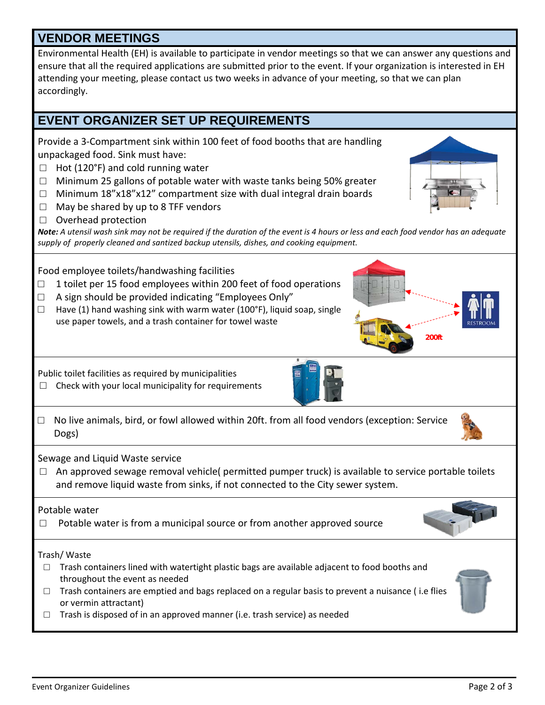## **VENDOR MEETINGS**

Environmental Health (EH) is available to participate in vendor meetings so that we can answer any questions and ensure that all the required applications are submitted prior to the event. If your organization is interested in EH attending your meeting, please contact us two weeks in advance of your meeting, so that we can plan accordingly.

# **EVENT ORGANIZER SET UP REQUIREMENTS**

Provide a 3-Compartment sink within 100 feet of food booths that are handling unpackaged food. Sink must have:

- $\Box$  Hot (120°F) and cold running water
- □ Minimum 25 gallons of potable water with waste tanks being 50% greater
- $\Box$  Minimum 18"x18"x12" compartment size with dual integral drain boards
- $\Box$  May be shared by up to 8 TFF vendors
- □ Overhead protection

*Note: A utensil wash sink may not be required if the duration of the event is 4 hours or less and each food vendor has an adequate supply of properly cleaned and santized backup utensils, dishes, and cooking equipment.*

Food employee toilets/handwashing facilities

- $\Box$  1 toilet per 15 food employees within 200 feet of food operations
- $\Box$  A sign should be provided indicating "Employees Only"
- $\Box$  Have (1) hand washing sink with warm water (100°F), liquid soap, single use paper towels, and a trash container for towel waste

Public toilet facilities as required by municipalities

- $\Box$  Check with your local municipality for requirements
- □ No live animals, bird, or fowl allowed within 20ft. from all food vendors (exception: Service Dogs)

Sewage and Liquid Waste service

 $\Box$  An approved sewage removal vehicle( permitted pumper truck) is available to service portable toilets and remove liquid waste from sinks, if not connected to the City sewer system.

### Potable water

□ Potable water is from a municipal source or from another approved source

#### Trash/ Waste

- $\Box$  Trash containers lined with watertight plastic bags are available adjacent to food booths and throughout the event as needed
- $\Box$  Trash containers are emptied and bags replaced on a regular basis to prevent a nuisance (i.e flies or vermin attractant)
- $\Box$  Trash is disposed of in an approved manner (i.e. trash service) as needed















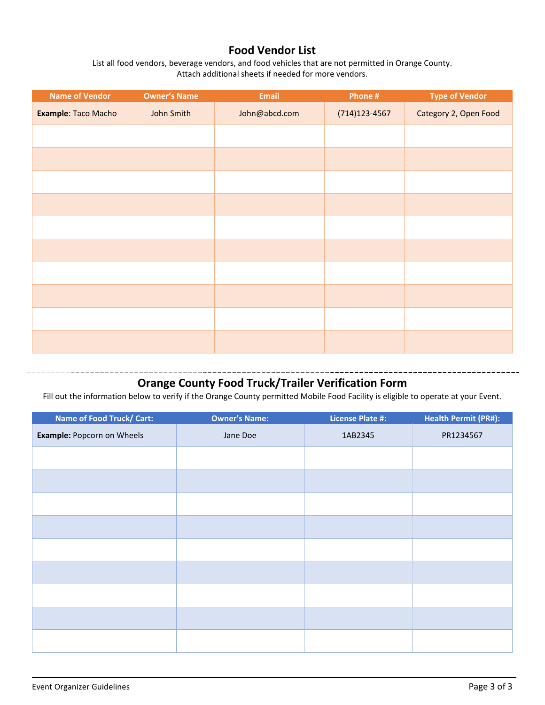## **Food Vendor List**

List all food vendors, beverage vendors, and food vehicles that are not permitted in Orange County. Attach additional sheets if needed for more vendors.

| <b>Name of Vendor</b> | <b>Owner's Name</b> | <b>Email</b>  | Phone #           | <b>Type of Vendor</b> |  |  |
|-----------------------|---------------------|---------------|-------------------|-----------------------|--|--|
| Example: Taco Macho   | John Smith          | John@abcd.com | $(714)123 - 4567$ | Category 2, Open Food |  |  |
|                       |                     |               |                   |                       |  |  |
|                       |                     |               |                   |                       |  |  |
|                       |                     |               |                   |                       |  |  |
|                       |                     |               |                   |                       |  |  |
|                       |                     |               |                   |                       |  |  |
|                       |                     |               |                   |                       |  |  |
|                       |                     |               |                   |                       |  |  |
|                       |                     |               |                   |                       |  |  |
|                       |                     |               |                   |                       |  |  |
|                       |                     |               |                   |                       |  |  |

# **Orange County Food Truck/Trailer Verification Form**

Fill out the information below to verify if the Orange County permitted Mobile Food Facility is eligible to operate at your Event.

| Name of Food Truck/ Cart:  | <b>Owner's Name:</b> | <b>License Plate #:</b> | <b>Health Permit (PR#):</b> |  |
|----------------------------|----------------------|-------------------------|-----------------------------|--|
| Example: Popcorn on Wheels | Jane Doe             | 1AB2345                 | PR1234567                   |  |
|                            |                      |                         |                             |  |
|                            |                      |                         |                             |  |
|                            |                      |                         |                             |  |
|                            |                      |                         |                             |  |
|                            |                      |                         |                             |  |
|                            |                      |                         |                             |  |
|                            |                      |                         |                             |  |
|                            |                      |                         |                             |  |
|                            |                      |                         |                             |  |

\_\_\_\_\_\_\_\_\_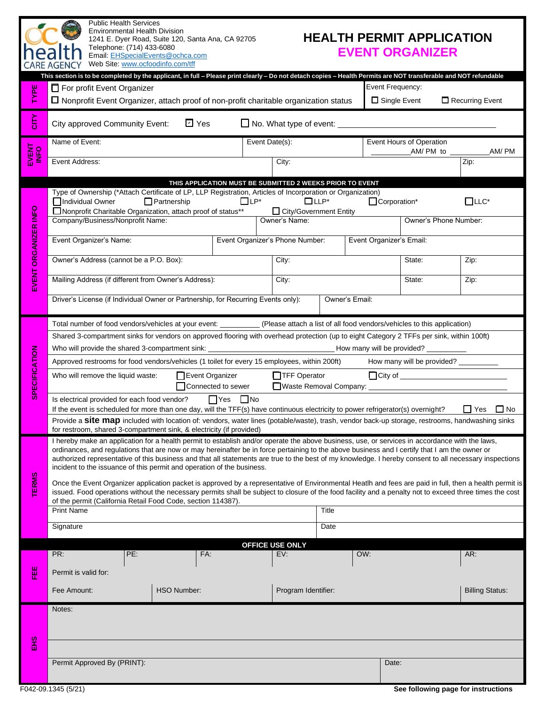| <b>Public Health Services</b><br><b>Environmental Health Division</b><br><b>HEALTH PERMIT APPLICATION</b><br>1241 E. Dyer Road, Suite 120, Santa Ana, CA 92705<br>Telephone: (714) 433-6080<br><b>EVENT ORGANIZER</b><br>Email: EHSpecialEvents@ochca.com<br>Web Site: www.ocfoodinfo.com/tff |                                                                                                                                                                                                                                                                                                                                                                                                                                                           |                    |            |                                                           |             |                                         |                                      |                        |
|-----------------------------------------------------------------------------------------------------------------------------------------------------------------------------------------------------------------------------------------------------------------------------------------------|-----------------------------------------------------------------------------------------------------------------------------------------------------------------------------------------------------------------------------------------------------------------------------------------------------------------------------------------------------------------------------------------------------------------------------------------------------------|--------------------|------------|-----------------------------------------------------------|-------------|-----------------------------------------|--------------------------------------|------------------------|
|                                                                                                                                                                                                                                                                                               | This section is to be completed by the applicant, in full - Please print clearly - Do not detach copies - Health Permits are NOT transferable and NOT refundable                                                                                                                                                                                                                                                                                          |                    |            |                                                           |             |                                         |                                      |                        |
| TYPE                                                                                                                                                                                                                                                                                          | $\Box$ For profit Event Organizer<br>$\Box$ Nonprofit Event Organizer, attach proof of non-profit charitable organization status                                                                                                                                                                                                                                                                                                                          |                    |            |                                                           |             | Event Frequency:<br>$\Box$ Single Event |                                      | Recurring Event        |
| čITY                                                                                                                                                                                                                                                                                          | City approved Community Event:                                                                                                                                                                                                                                                                                                                                                                                                                            | ☑ Yes              |            |                                                           |             |                                         |                                      |                        |
| EVENT<br>INFO                                                                                                                                                                                                                                                                                 | Name of Event:                                                                                                                                                                                                                                                                                                                                                                                                                                            |                    |            | Event Date(s):                                            |             |                                         | Event Hours of Operation             | AM/PM                  |
|                                                                                                                                                                                                                                                                                               | Event Address:                                                                                                                                                                                                                                                                                                                                                                                                                                            |                    |            | City:                                                     |             |                                         |                                      | Zip:                   |
|                                                                                                                                                                                                                                                                                               |                                                                                                                                                                                                                                                                                                                                                                                                                                                           |                    |            | THIS APPLICATION MUST BE SUBMITTED 2 WEEKS PRIOR TO EVENT |             |                                         |                                      |                        |
|                                                                                                                                                                                                                                                                                               | Type of Ownership (*Attach Certificate of LP, LLP Registration, Articles of Incorporation or Organization)<br>Individual Owner                                                                                                                                                                                                                                                                                                                            | $\Box$ Partnership | $\Box$ LP* |                                                           | $\Box$ LLP* | Corporation*                            |                                      | $\Box$ LLC*            |
|                                                                                                                                                                                                                                                                                               | Nonprofit Charitable Organization, attach proof of status**                                                                                                                                                                                                                                                                                                                                                                                               |                    |            | □ City/Government Entity                                  |             |                                         |                                      |                        |
|                                                                                                                                                                                                                                                                                               | Company/Business/Nonprofit Name:                                                                                                                                                                                                                                                                                                                                                                                                                          |                    |            | Owner's Name:                                             |             |                                         | Owner's Phone Number:                |                        |
| EVENT ORGANIZER INFO                                                                                                                                                                                                                                                                          | Event Organizer's Name:                                                                                                                                                                                                                                                                                                                                                                                                                                   |                    |            | Event Organizer's Phone Number:                           |             | Event Organizer's Email:                |                                      |                        |
|                                                                                                                                                                                                                                                                                               | Owner's Address (cannot be a P.O. Box):                                                                                                                                                                                                                                                                                                                                                                                                                   |                    |            | City:                                                     |             |                                         | State:                               | Zip:                   |
|                                                                                                                                                                                                                                                                                               | Mailing Address (if different from Owner's Address):                                                                                                                                                                                                                                                                                                                                                                                                      |                    |            | City:                                                     |             |                                         | State:                               | Zip:                   |
|                                                                                                                                                                                                                                                                                               | Driver's License (if Individual Owner or Partnership, for Recurring Events only):<br>Owner's Email:                                                                                                                                                                                                                                                                                                                                                       |                    |            |                                                           |             |                                         |                                      |                        |
|                                                                                                                                                                                                                                                                                               | Total number of food vendors/vehicles at your event: ____________ (Please attach a list of all food vendors/vehicles to this application)                                                                                                                                                                                                                                                                                                                 |                    |            |                                                           |             |                                         |                                      |                        |
|                                                                                                                                                                                                                                                                                               | Shared 3-compartment sinks for vendors on approved flooring with overhead protection (up to eight Category 2 TFFs per sink, within 100ft)                                                                                                                                                                                                                                                                                                                 |                    |            |                                                           |             |                                         |                                      |                        |
|                                                                                                                                                                                                                                                                                               | Who will provide the shared 3-compartment sink: __________________________________How many will be provided? _________                                                                                                                                                                                                                                                                                                                                    |                    |            |                                                           |             |                                         |                                      |                        |
|                                                                                                                                                                                                                                                                                               | Approved restrooms for food vendors/vehicles (1 toilet for every 15 employees, within 200ft)                                                                                                                                                                                                                                                                                                                                                              |                    |            |                                                           |             |                                         | How many will be provided? _________ |                        |
| <b>SPECIFICATION</b>                                                                                                                                                                                                                                                                          | $\Box$ City of $\Box$<br>TFF Operator<br>Event Organizer<br>Who will remove the liquid waste:<br>Connected to sewer<br>Waste Removal Company: ________                                                                                                                                                                                                                                                                                                    |                    |            |                                                           |             |                                         |                                      |                        |
|                                                                                                                                                                                                                                                                                               | Is electrical provided for each food vendor?<br>$\Box$ Yes $\Box$ No                                                                                                                                                                                                                                                                                                                                                                                      |                    |            |                                                           |             |                                         |                                      |                        |
|                                                                                                                                                                                                                                                                                               | If the event is scheduled for more than one day, will the TFF(s) have continuous electricity to power refrigerator(s) overnight?<br>$\Box$ Yes $\Box$ No<br>Provide a <b>Site map</b> included with location of: vendors, water lines (potable/waste), trash, vendor back-up storage, restrooms, handwashing sinks                                                                                                                                        |                    |            |                                                           |             |                                         |                                      |                        |
|                                                                                                                                                                                                                                                                                               | for restroom, shared 3-compartment sink, & electricity (if provided)                                                                                                                                                                                                                                                                                                                                                                                      |                    |            |                                                           |             |                                         |                                      |                        |
|                                                                                                                                                                                                                                                                                               | I hereby make an application for a health permit to establish and/or operate the above business, use, or services in accordance with the laws,<br>ordinances, and regulations that are now or may hereinafter be in force pertaining to the above business and I certify that I am the owner or<br>authorized representative of this business and that all statements are true to the best of my knowledge. I hereby consent to all necessary inspections |                    |            |                                                           |             |                                         |                                      |                        |
|                                                                                                                                                                                                                                                                                               | incident to the issuance of this permit and operation of the business.                                                                                                                                                                                                                                                                                                                                                                                    |                    |            |                                                           |             |                                         |                                      |                        |
| <b>TERMS</b>                                                                                                                                                                                                                                                                                  | Once the Event Organizer application packet is approved by a representative of Environmental Heatlh and fees are paid in full, then a health permit is<br>issued. Food operations without the necessary permits shall be subject to closure of the food facility and a penalty not to exceed three times the cost<br>of the permit (California Retail Food Code, section 114387).                                                                         |                    |            |                                                           |             |                                         |                                      |                        |
|                                                                                                                                                                                                                                                                                               | <b>Print Name</b>                                                                                                                                                                                                                                                                                                                                                                                                                                         |                    |            |                                                           | Title       |                                         |                                      |                        |
|                                                                                                                                                                                                                                                                                               | Signature                                                                                                                                                                                                                                                                                                                                                                                                                                                 |                    |            |                                                           | Date        |                                         |                                      |                        |
|                                                                                                                                                                                                                                                                                               |                                                                                                                                                                                                                                                                                                                                                                                                                                                           |                    |            | <b>OFFICE USE ONLY</b>                                    |             |                                         |                                      |                        |
|                                                                                                                                                                                                                                                                                               | PE:<br>PR:                                                                                                                                                                                                                                                                                                                                                                                                                                                |                    | FA:        | EV:                                                       | OW:         |                                         |                                      | AR:                    |
| 쁕                                                                                                                                                                                                                                                                                             | Permit is valid for:                                                                                                                                                                                                                                                                                                                                                                                                                                      |                    |            |                                                           |             |                                         |                                      |                        |
|                                                                                                                                                                                                                                                                                               | Fee Amount:                                                                                                                                                                                                                                                                                                                                                                                                                                               | <b>HSO Number:</b> |            | Program Identifier:                                       |             |                                         |                                      | <b>Billing Status:</b> |
| 음<br>도                                                                                                                                                                                                                                                                                        | Notes:                                                                                                                                                                                                                                                                                                                                                                                                                                                    |                    |            |                                                           |             |                                         |                                      |                        |
|                                                                                                                                                                                                                                                                                               |                                                                                                                                                                                                                                                                                                                                                                                                                                                           |                    |            |                                                           |             |                                         |                                      |                        |
|                                                                                                                                                                                                                                                                                               |                                                                                                                                                                                                                                                                                                                                                                                                                                                           |                    |            |                                                           |             |                                         |                                      |                        |
|                                                                                                                                                                                                                                                                                               | Permit Approved By (PRINT):                                                                                                                                                                                                                                                                                                                                                                                                                               |                    |            |                                                           |             | Date:                                   |                                      |                        |